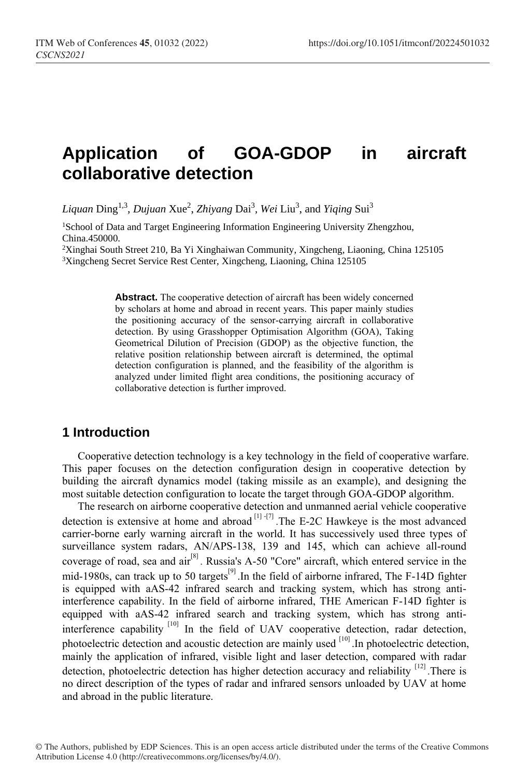# **Application of GOA-GDOP in aircraft collaborative detection**

Liquan Ding<sup>1,3</sup>, *Dujuan Xue<sup>2</sup>*, *Zhiyang Dai<sup>3</sup>, Wei Liu<sup>3</sup>, and Yiqing Sui<sup>3</sup>* 

<sup>1</sup>School of Data and Target Engineering Information Engineering University Zhengzhou, China.450000.

<sup>2</sup>Xinghai South Street 210, Ba Yi Xinghaiwan Community, Xingcheng, Liaoning, China 125105 <sup>3</sup>Xingcheng Secret Service Rest Center, Xingcheng, Liaoning, China 125105

> **Abstract.** The cooperative detection of aircraft has been widely concerned by scholars at home and abroad in recent years. This paper mainly studies the positioning accuracy of the sensor-carrying aircraft in collaborative detection. By using Grasshopper Optimisation Algorithm (GOA), Taking Geometrical Dilution of Precision (GDOP) as the objective function, the relative position relationship between aircraft is determined, the optimal detection configuration is planned, and the feasibility of the algorithm is analyzed under limited flight area conditions, the positioning accuracy of collaborative detection is further improved.

# **1 Introduction**

Cooperative detection technology is a key technology in the field of cooperative warfare. This paper focuses on the detection configuration design in cooperative detection by building the aircraft dynamics model (taking missile as an example), and designing the most suitable detection configuration to locate the target through GOA-GDOP algorithm.

The research on airborne cooperative detection and unmanned aerial vehicle cooperative detection is extensive at home and abroad  $\left[1\right]$  - $\left[7\right]$ . The E-2C Hawkeye is the most advanced carrier-borne early warning aircraft in the world. It has successively used three types of surveillance system radars, AN/APS-138, 139 and 145, which can achieve all-round coverage of road, sea and  $\ar{a}^{[8]}$ . Russia's A-50 "Core" aircraft, which entered service in the mid-1980s, can track up to 50 targets<sup>[9]</sup>. In the field of airborne infrared, The F-14D fighter is equipped with aAS-42 infrared search and tracking system, which has strong antiinterference capability. In the field of airborne infrared, THE American F-14D fighter is equipped with aAS-42 infrared search and tracking system, which has strong antiinterference capability <sup>[10]</sup> In the field of UAV cooperative detection, radar detection, photoelectric detection and acoustic detection are mainly used <sup>[10]</sup>. In photoelectric detection, mainly the application of infrared, visible light and laser detection, compared with radar detection, photoelectric detection has higher detection accuracy and reliability <sup>[12]</sup>. There is no direct description of the types of radar and infrared sensors unloaded by UAV at home and abroad in the public literature.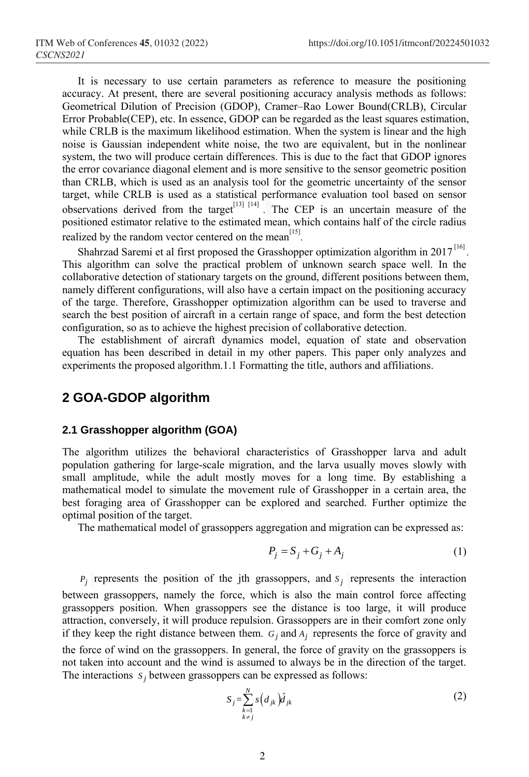It is necessary to use certain parameters as reference to measure the positioning accuracy. At present, there are several positioning accuracy analysis methods as follows: Geometrical Dilution of Precision (GDOP), Cramer–Rao Lower Bound(CRLB), Circular Error Probable(CEP), etc. In essence, GDOP can be regarded as the least squares estimation, while CRLB is the maximum likelihood estimation. When the system is linear and the high noise is Gaussian independent white noise, the two are equivalent, but in the nonlinear system, the two will produce certain differences. This is due to the fact that GDOP ignores the error covariance diagonal element and is more sensitive to the sensor geometric position than CRLB, which is used as an analysis tool for the geometric uncertainty of the sensor target, while CRLB is used as a statistical performance evaluation tool based on sensor observations derived from the target<sup>[13] [14]</sup>. The CEP is an uncertain measure of the positioned estimator relative to the estimated mean, which contains half of the circle radius realized by the random vector centered on the mean<sup>[15]</sup>.

Shahrzad Saremi et al first proposed the Grasshopper optimization algorithm in 2017<sup>[16]</sup>. This algorithm can solve the practical problem of unknown search space well. In the collaborative detection of stationary targets on the ground, different positions between them, namely different configurations, will also have a certain impact on the positioning accuracy of the targe. Therefore, Grasshopper optimization algorithm can be used to traverse and search the best position of aircraft in a certain range of space, and form the best detection configuration, so as to achieve the highest precision of collaborative detection.

The establishment of aircraft dynamics model, equation of state and observation equation has been described in detail in my other papers. This paper only analyzes and experiments the proposed algorithm.1.1 Formatting the title, authors and affiliations.

## **2 GOA-GDOP algorithm**

## **2.1 Grasshopper algorithm (GOA)**

The algorithm utilizes the behavioral characteristics of Grasshopper larva and adult population gathering for large-scale migration, and the larva usually moves slowly with small amplitude, while the adult mostly moves for a long time. By establishing a mathematical model to simulate the movement rule of Grasshopper in a certain area, the best foraging area of Grasshopper can be explored and searched. Further optimize the optimal position of the target.

The mathematical model of grassoppers aggregation and migration can be expressed as:

$$
P_j = S_j + G_j + A_j \tag{1}
$$

 $P_j$  represents the position of the jth grassoppers, and  $S_j$  represents the interaction between grassoppers, namely the force, which is also the main control force affecting grassoppers position. When grassoppers see the distance is too large, it will produce attraction, conversely, it will produce repulsion. Grassoppers are in their comfort zone only if they keep the right distance between them.  $G_j$  and  $A_j$  represents the force of gravity and

the force of wind on the grassoppers. In general, the force of gravity on the grassoppers is not taken into account and the wind is assumed to always be in the direction of the target. The interactions  $s_j$  between grassoppers can be expressed as follows:

$$
S_j = \sum_{\substack{k=1\\k \neq j}}^N s\left(d_{jk}\right) \hat{d}_{jk} \tag{2}
$$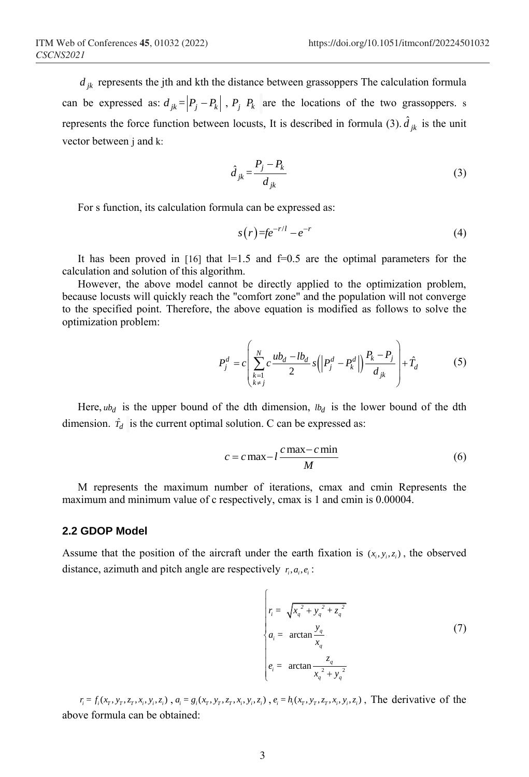$d_{jk}$  represents the jth and kth the distance between grassoppers The calculation formula can be expressed as:  $d_{jk} = \left| P_j - P_k \right|$ ,  $P_j$ ,  $P_k$  are the locations of the two grassoppers. s represents the force function between locusts, It is described in formula (3).  $\hat{d}_{jk}$  is the unit vector between j and k:

$$
\hat{d}_{jk} = \frac{P_j - P_k}{d_{jk}}\tag{3}
$$

For s function, its calculation formula can be expressed as:

$$
s(r) = fe^{-r/l} - e^{-r}
$$
\n
$$
\tag{4}
$$

It has been proved in  $[16]$  that  $]=1.5$  and  $=0.5$  are the optimal parameters for the calculation and solution of this algorithm.

However, the above model cannot be directly applied to the optimization problem, because locusts will quickly reach the "comfort zone" and the population will not converge to the specified point. Therefore, the above equation is modified as follows to solve the optimization problem:

$$
P_j^d = c \left( \sum_{\substack{k=1 \ k \neq j}}^N c \frac{ub_d - lb_d}{2} s \left( \left| P_j^d - P_k^d \right| \right) \frac{P_k - P_j}{d_{jk}} \right) + \hat{T}_d \tag{5}
$$

Here,  $ub_d$  is the upper bound of the dth dimension,  $lb_d$  is the lower bound of the dth dimension.  $\hat{T}_d$  is the current optimal solution. C can be expressed as:

$$
c = c \max - l \frac{c \max - c \min}{M}
$$
 (6)

M represents the maximum number of iterations, cmax and cmin Represents the maximum and minimum value of c respectively, cmax is 1 and cmin is 0.00004.

### **2.2 GDOP Model**

Assume that the position of the aircraft under the earth fixation is  $(x_i, y_i, z_i)$ , the observed distance, azimuth and pitch angle are respectively  $r_i, a_i, e_i$ :

$$
r_i = \sqrt{x_q^2 + y_q^2 + z_q^2}
$$
  
\n
$$
a_i = \arctan \frac{y_q}{x_q}
$$
  
\n
$$
e_i = \arctan \frac{z_q}{x_q^2 + y_q^2}
$$
\n(7)

 $r_i = f_i(x_r, y_r, z_r, x_i, y_i, z_i)$ ,  $a_i = g_i(x_r, y_r, z_r, x_i, y_i, z_i)$ ,  $e_i = h_i(x_r, y_r, z_r, x_i, y_i, z_i)$ , The derivative of the above formula can be obtained: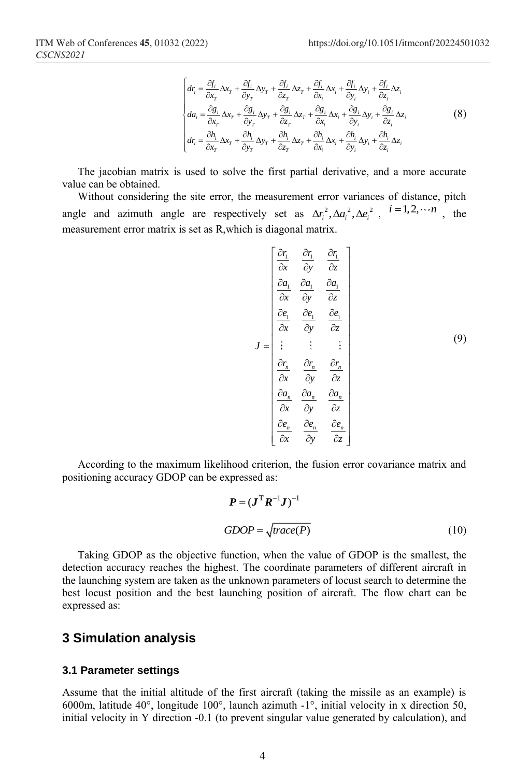$$
\begin{cases}\ndr_{i} = \frac{\partial f_{i}}{\partial x_{T}} \Delta x_{T} + \frac{\partial f_{i}}{\partial y_{T}} \Delta y_{T} + \frac{\partial f_{i}}{\partial z_{T}} \Delta z_{T} + \frac{\partial f_{i}}{\partial x_{i}} \Delta x_{i} + \frac{\partial f_{i}}{\partial y_{i}} \Delta y_{i} + \frac{\partial f_{i}}{\partial z_{i}} \Delta z_{i} \\
da_{i} = \frac{\partial g_{i}}{\partial x_{T}} \Delta x_{T} + \frac{\partial g_{i}}{\partial y_{T}} \Delta y_{T} + \frac{\partial g_{i}}{\partial z_{T}} \Delta z_{T} + \frac{\partial g_{i}}{\partial x_{i}} \Delta x_{i} + \frac{\partial g_{i}}{\partial y_{i}} \Delta y_{i} + \frac{\partial g_{i}}{\partial z_{i}} \Delta z_{i} \\
dr_{i} = \frac{\partial h_{i}}{\partial x_{T}} \Delta x_{T} + \frac{\partial h_{i}}{\partial y_{T}} \Delta y_{T} + \frac{\partial h_{i}}{\partial z_{T}} \Delta z_{T} + \frac{\partial h_{i}}{\partial x_{i}} \Delta x_{i} + \frac{\partial h_{i}}{\partial y_{i}} \Delta y_{i} + \frac{\partial h_{i}}{\partial z_{i}} \Delta z_{i}\n\end{cases}
$$
\n(8)

The jacobian matrix is used to solve the first partial derivative, and a more accurate value can be obtained.

Without considering the site error, the measurement error variances of distance, pitch angle and azimuth angle are respectively set as  $\Delta r_i^2$ ,  $\Delta a_i^2$ ,  $\Delta e_i^2$ ,  $i = 1, 2, \dots n$ , the measurement error matrix is set as R,which is diagonal matrix.

$$
J = \begin{bmatrix} \frac{\partial r_1}{\partial x} & \frac{\partial r_1}{\partial y} & \frac{\partial r_1}{\partial z} \\ \frac{\partial a_1}{\partial x} & \frac{\partial a_1}{\partial y} & \frac{\partial a_1}{\partial z} \\ \frac{\partial e_1}{\partial x} & \frac{\partial e_1}{\partial y} & \frac{\partial e_1}{\partial z} \\ \vdots & \vdots & \vdots & \vdots \\ \frac{\partial r_n}{\partial x} & \frac{\partial r_n}{\partial y} & \frac{\partial r_n}{\partial z} \\ \frac{\partial a_n}{\partial x} & \frac{\partial a_n}{\partial y} & \frac{\partial a_n}{\partial z} \\ \frac{\partial e_n}{\partial x} & \frac{\partial e_n}{\partial y} & \frac{\partial e_n}{\partial z} \end{bmatrix}
$$
(9)

According to the maximum likelihood criterion, the fusion error covariance matrix and positioning accuracy GDOP can be expressed as:

$$
P = (JT R-1 J)-1
$$
  
GDOP =  $\sqrt{\text{trace}(P)}$  (10)

Taking GDOP as the objective function, when the value of GDOP is the smallest, the detection accuracy reaches the highest. The coordinate parameters of different aircraft in the launching system are taken as the unknown parameters of locust search to determine the best locust position and the best launching position of aircraft. The flow chart can be expressed as:

# **3 Simulation analysis**

#### **3.1 Parameter settings**

Assume that the initial altitude of the first aircraft (taking the missile as an example) is 6000m, latitude 40°, longitude 100°, launch azimuth -1°, initial velocity in x direction 50, initial velocity in Y direction -0.1 (to prevent singular value generated by calculation), and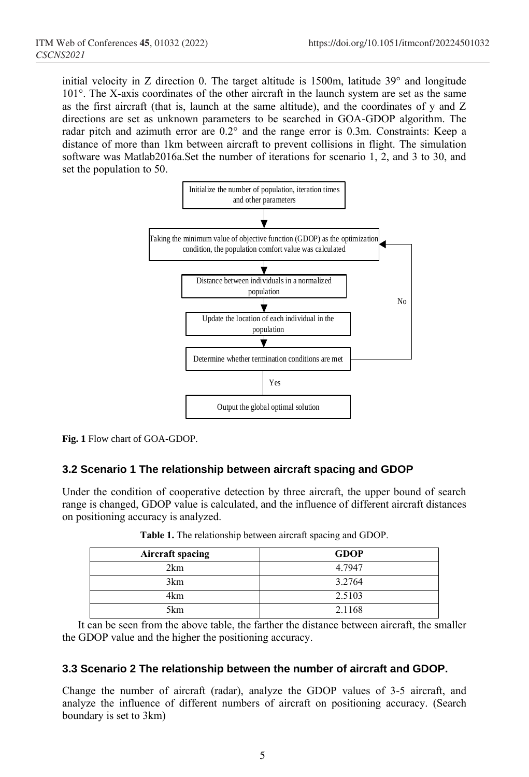initial velocity in Z direction 0. The target altitude is 1500m, latitude 39° and longitude 101°. The X-axis coordinates of the other aircraft in the launch system are set as the same as the first aircraft (that is, launch at the same altitude), and the coordinates of y and Z directions are set as unknown parameters to be searched in GOA-GDOP algorithm. The radar pitch and azimuth error are 0.2° and the range error is 0.3m. Constraints: Keep a distance of more than 1km between aircraft to prevent collisions in flight. The simulation software was Matlab2016a.Set the number of iterations for scenario 1, 2, and 3 to 30, and set the population to 50.



**Fig. 1** Flow chart of GOA-GDOP.

# **3.2 Scenario 1 The relationship between aircraft spacing and GDOP**

Under the condition of cooperative detection by three aircraft, the upper bound of search range is changed, GDOP value is calculated, and the influence of different aircraft distances on positioning accuracy is analyzed.

| <b>Aircraft spacing</b> | <b>GDOP</b> |
|-------------------------|-------------|
| 2km                     | 4.7947      |
| 3km                     | 3.2764      |
| 4km                     | 2.5103      |
| 5km                     | 2.1168      |

**Table 1.** The relationship between aircraft spacing and GDOP.

It can be seen from the above table, the farther the distance between aircraft, the smaller the GDOP value and the higher the positioning accuracy.

## **3.3 Scenario 2 The relationship between the number of aircraft and GDOP.**

Change the number of aircraft (radar), analyze the GDOP values of 3-5 aircraft, and analyze the influence of different numbers of aircraft on positioning accuracy. (Search boundary is set to 3km)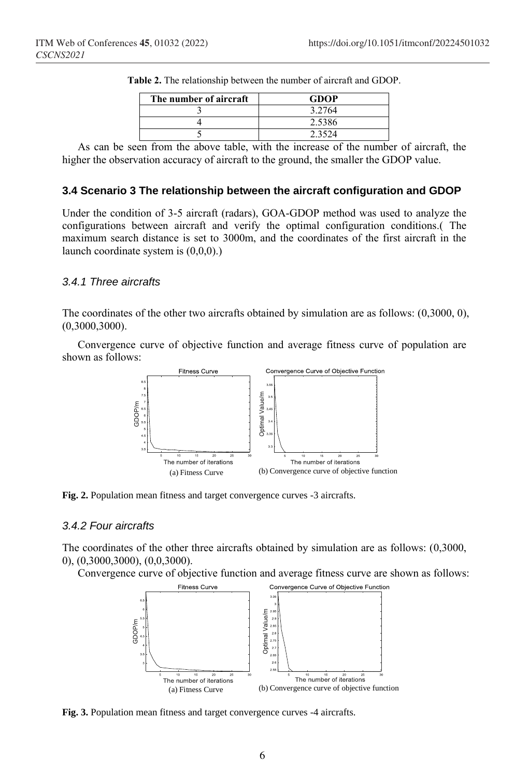| The number of aircraft | <b>GDOP</b> |
|------------------------|-------------|
|                        | 3.2764      |
|                        | 2.5386      |
|                        | 23524       |

**Table 2.** The relationship between the number of aircraft and GDOP.

As can be seen from the above table, with the increase of the number of aircraft, the higher the observation accuracy of aircraft to the ground, the smaller the GDOP value.

### **3.4 Scenario 3 The relationship between the aircraft configuration and GDOP**

Under the condition of 3-5 aircraft (radars), GOA-GDOP method was used to analyze the configurations between aircraft and verify the optimal configuration conditions.( The maximum search distance is set to 3000m, and the coordinates of the first aircraft in the launch coordinate system is (0,0,0).)

#### *3.4.1 Three aircrafts*

The coordinates of the other two aircrafts obtained by simulation are as follows: (0,3000, 0), (0,3000,3000).

Convergence curve of objective function and average fitness curve of population are shown as follows:



**Fig. 2.** Population mean fitness and target convergence curves -3 aircrafts.

## *3.4.2 Four aircrafts*

The coordinates of the other three aircrafts obtained by simulation are as follows: (0,3000, 0), (0,3000,3000), (0,0,3000).

Convergence curve of objective function and average fitness curve are shown as follows:



**Fig. 3.** Population mean fitness and target convergence curves -4 aircrafts.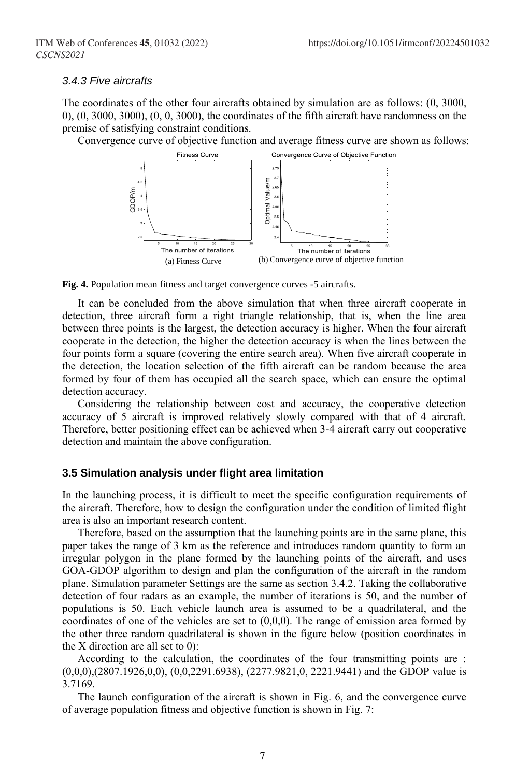#### *3.4.3 Five aircrafts*

The coordinates of the other four aircrafts obtained by simulation are as follows: (0, 3000, 0), (0, 3000, 3000), (0, 0, 3000), the coordinates of the fifth aircraft have randomness on the premise of satisfying constraint conditions.

Convergence curve of objective function and average fitness curve are shown as follows:



**Fig. 4.** Population mean fitness and target convergence curves -5 aircrafts.

It can be concluded from the above simulation that when three aircraft cooperate in detection, three aircraft form a right triangle relationship, that is, when the line area between three points is the largest, the detection accuracy is higher. When the four aircraft cooperate in the detection, the higher the detection accuracy is when the lines between the four points form a square (covering the entire search area). When five aircraft cooperate in the detection, the location selection of the fifth aircraft can be random because the area formed by four of them has occupied all the search space, which can ensure the optimal detection accuracy.

Considering the relationship between cost and accuracy, the cooperative detection accuracy of 5 aircraft is improved relatively slowly compared with that of 4 aircraft. Therefore, better positioning effect can be achieved when 3-4 aircraft carry out cooperative detection and maintain the above configuration.

#### **3.5 Simulation analysis under flight area limitation**

In the launching process, it is difficult to meet the specific configuration requirements of the aircraft. Therefore, how to design the configuration under the condition of limited flight area is also an important research content.

Therefore, based on the assumption that the launching points are in the same plane, this paper takes the range of 3 km as the reference and introduces random quantity to form an irregular polygon in the plane formed by the launching points of the aircraft, and uses GOA-GDOP algorithm to design and plan the configuration of the aircraft in the random plane. Simulation parameter Settings are the same as section 3.4.2. Taking the collaborative detection of four radars as an example, the number of iterations is 50, and the number of populations is 50. Each vehicle launch area is assumed to be a quadrilateral, and the coordinates of one of the vehicles are set to  $(0,0,0)$ . The range of emission area formed by the other three random quadrilateral is shown in the figure below (position coordinates in the X direction are all set to 0):

According to the calculation, the coordinates of the four transmitting points are : (0,0,0),(2807.1926,0,0), (0,0,2291.6938), (2277.9821,0, 2221.9441) and the GDOP value is 3.7169.

The launch configuration of the aircraft is shown in Fig. 6, and the convergence curve of average population fitness and objective function is shown in Fig. 7: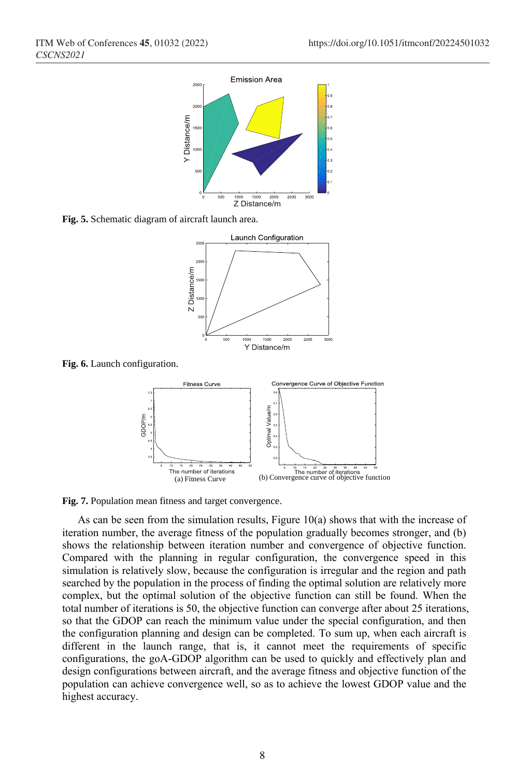

**Fig. 5.** Schematic diagram of aircraft launch area.



**Fig. 6.** Launch configuration.



**Fig. 7.** Population mean fitness and target convergence.

As can be seen from the simulation results, Figure 10(a) shows that with the increase of iteration number, the average fitness of the population gradually becomes stronger, and (b) shows the relationship between iteration number and convergence of objective function. Compared with the planning in regular configuration, the convergence speed in this simulation is relatively slow, because the configuration is irregular and the region and path searched by the population in the process of finding the optimal solution are relatively more complex, but the optimal solution of the objective function can still be found. When the total number of iterations is 50, the objective function can converge after about 25 iterations, so that the GDOP can reach the minimum value under the special configuration, and then the configuration planning and design can be completed. To sum up, when each aircraft is different in the launch range, that is, it cannot meet the requirements of specific configurations, the goA-GDOP algorithm can be used to quickly and effectively plan and design configurations between aircraft, and the average fitness and objective function of the population can achieve convergence well, so as to achieve the lowest GDOP value and the highest accuracy.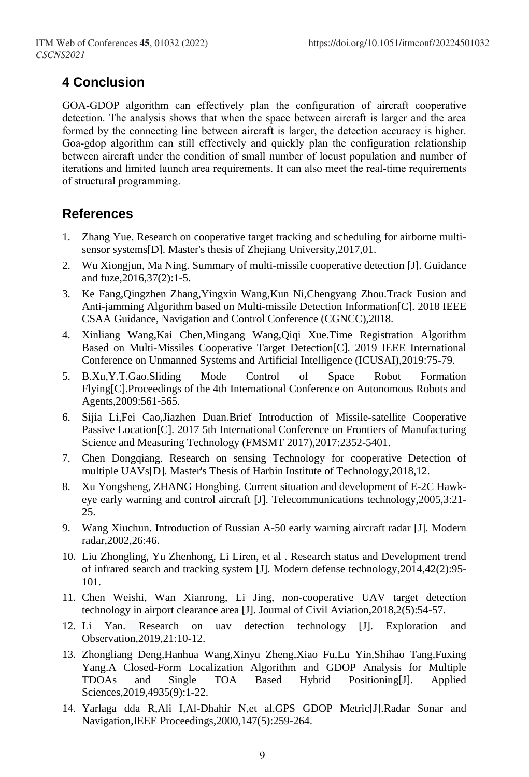# **4 Conclusion**

GOA-GDOP algorithm can effectively plan the configuration of aircraft cooperative detection. The analysis shows that when the space between aircraft is larger and the area formed by the connecting line between aircraft is larger, the detection accuracy is higher. Goa-gdop algorithm can still effectively and quickly plan the configuration relationship between aircraft under the condition of small number of locust population and number of iterations and limited launch area requirements. It can also meet the real-time requirements of structural programming.

# **References**

- 1. Zhang Yue. Research on cooperative target tracking and scheduling for airborne multisensor systems[D]. Master's thesis of Zhejiang University,2017,01.
- 2. Wu Xiongjun, Ma Ning. Summary of multi-missile cooperative detection [J]. Guidance and fuze,2016,37(2):1-5.
- 3. Ke Fang,Qingzhen Zhang,Yingxin Wang,Kun Ni,Chengyang Zhou.Track Fusion and Anti-jamming Algorithm based on Multi-missile Detection Information[C]. 2018 IEEE CSAA Guidance, Navigation and Control Conference (CGNCC),2018.
- 4. Xinliang Wang,Kai Chen,Mingang Wang,Qiqi Xue.Time Registration Algorithm Based on Multi-Missiles Cooperative Target Detection[C]. 2019 IEEE International Conference on Unmanned Systems and Artificial Intelligence (ICUSAI),2019:75-79.
- 5. B.Xu,Y.T.Gao.Sliding Mode Control of Space Robot Formation Flying[C].Proceedings of the 4th International Conference on Autonomous Robots and Agents,2009:561-565.
- 6. Sijia Li,Fei Cao,Jiazhen Duan.Brief Introduction of Missile-satellite Cooperative Passive Location[C]. 2017 5th International Conference on Frontiers of Manufacturing Science and Measuring Technology (FMSMT 2017),2017:2352-5401.
- 7. Chen Dongqiang. Research on sensing Technology for cooperative Detection of multiple UAVs[D]. Master's Thesis of Harbin Institute of Technology,2018,12.
- 8. Xu Yongsheng, ZHANG Hongbing. Current situation and development of E-2C Hawkeye early warning and control aircraft [J]. Telecommunications technology,2005,3:21- 25.
- 9. Wang Xiuchun. Introduction of Russian A-50 early warning aircraft radar [J]. Modern radar,2002,26:46.
- 10. Liu Zhongling, Yu Zhenhong, Li Liren, et al . Research status and Development trend of infrared search and tracking system [J]. Modern defense technology,2014,42(2):95- 101.
- 11. Chen Weishi, Wan Xianrong, Li Jing, non-cooperative UAV target detection technology in airport clearance area [J]. Journal of Civil Aviation,2018,2(5):54-57.
- 12. Li Yan. Research on uav detection technology [J]. Exploration and Observation,2019,21:10-12.
- 13. Zhongliang Deng,Hanhua Wang,Xinyu Zheng,Xiao Fu,Lu Yin,Shihao Tang,Fuxing Yang.A Closed-Form Localization Algorithm and GDOP Analysis for Multiple TDOAs and Single TOA Based Hybrid Positioning[J]. Applied Sciences,2019,4935(9):1-22.
- 14. Yarlaga dda R,Ali I,Al-Dhahir N,et al.GPS GDOP Metric[J].Radar Sonar and Navigation,IEEE Proceedings,2000,147(5):259-264.